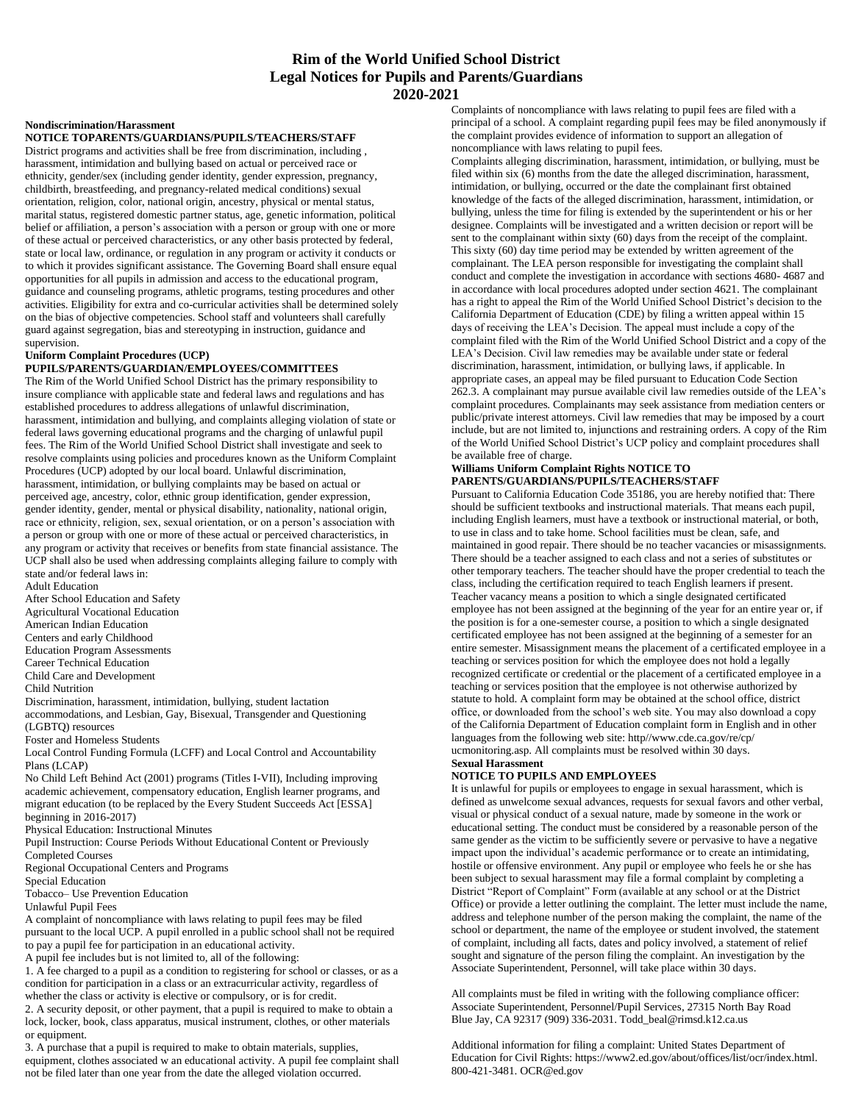# **Rim of the World Unified School District Legal Notices for Pupils and Parents/Guardians 2020-2021**

### **Nondiscrimination/Harassment**

**NOTICE TOPARENTS/GUARDIANS/PUPILS/TEACHERS/STAFF** 

District programs and activities shall be free from discrimination, including , harassment, intimidation and bullying based on actual or perceived race or ethnicity, gender/sex (including gender identity, gender expression, pregnancy, childbirth, breastfeeding, and pregnancy-related medical conditions) sexual orientation, religion, color, national origin, ancestry, physical or mental status, marital status, registered domestic partner status, age, genetic information, political belief or affiliation, a person's association with a person or group with one or more of these actual or perceived characteristics, or any other basis protected by federal, state or local law, ordinance, or regulation in any program or activity it conducts or to which it provides significant assistance. The Governing Board shall ensure equal opportunities for all pupils in admission and access to the educational program, guidance and counseling programs, athletic programs, testing procedures and other activities. Eligibility for extra and co-curricular activities shall be determined solely on the bias of objective competencies. School staff and volunteers shall carefully guard against segregation, bias and stereotyping in instruction, guidance and supervision.

### **Uniform Complaint Procedures (UCP)**

# **PUPILS/PARENTS/GUARDIAN/EMPLOYEES/COMMITTEES**

The Rim of the World Unified School District has the primary responsibility to insure compliance with applicable state and federal laws and regulations and has established procedures to address allegations of unlawful discrimination, harassment, intimidation and bullying, and complaints alleging violation of state or federal laws governing educational programs and the charging of unlawful pupil fees. The Rim of the World Unified School District shall investigate and seek to resolve complaints using policies and procedures known as the Uniform Complaint Procedures (UCP) adopted by our local board. Unlawful discrimination, harassment, intimidation, or bullying complaints may be based on actual or perceived age, ancestry, color, ethnic group identification, gender expression,

gender identity, gender, mental or physical disability, nationality, national origin, race or ethnicity, religion, sex, sexual orientation, or on a person's association with a person or group with one or more of these actual or perceived characteristics, in any program or activity that receives or benefits from state financial assistance. The UCP shall also be used when addressing complaints alleging failure to comply with state and/or federal laws in:

Adult Education After School Education and Safety Agricultural Vocational Education American Indian Education Centers and early Childhood Education Program Assessments Career Technical Education Child Care and Development Child Nutrition Discrimination, harassment, intimidation, bullying, student lactation accommodations, and Lesbian, Gay, Bisexual, Transgender and Questioning (LGBTQ) resources Foster and Homeless Students Local Control Funding Formula (LCFF) and Local Control and Accountability Plans (LCAP) No Child Left Behind Act (2001) programs (Titles I-VII), Including improving academic achievement, compensatory education, English learner programs, and migrant education (to be replaced by the Every Student Succeeds Act [ESSA] beginning in 2016-2017)

Physical Education: Instructional Minutes

Pupil Instruction: Course Periods Without Educational Content or Previously Completed Courses

Regional Occupational Centers and Programs

Special Education

Tobacco– Use Prevention Education

Unlawful Pupil Fees

A complaint of noncompliance with laws relating to pupil fees may be filed pursuant to the local UCP. A pupil enrolled in a public school shall not be required to pay a pupil fee for participation in an educational activity.

A pupil fee includes but is not limited to, all of the following:

1. A fee charged to a pupil as a condition to registering for school or classes, or as a condition for participation in a class or an extracurricular activity, regardless of whether the class or activity is elective or compulsory, or is for credit.

2. A security deposit, or other payment, that a pupil is required to make to obtain a lock, locker, book, class apparatus, musical instrument, clothes, or other materials or equipment.

3. A purchase that a pupil is required to make to obtain materials, supplies, equipment, clothes associated w an educational activity. A pupil fee complaint shall not be filed later than one year from the date the alleged violation occurred.

Complaints of noncompliance with laws relating to pupil fees are filed with a principal of a school. A complaint regarding pupil fees may be filed anonymously if the complaint provides evidence of information to support an allegation of noncompliance with laws relating to pupil fees.

Complaints alleging discrimination, harassment, intimidation, or bullying, must be filed within six (6) months from the date the alleged discrimination, harassment, intimidation, or bullying, occurred or the date the complainant first obtained knowledge of the facts of the alleged discrimination, harassment, intimidation, or bullying, unless the time for filing is extended by the superintendent or his or her designee. Complaints will be investigated and a written decision or report will be sent to the complainant within sixty (60) days from the receipt of the complaint. This sixty (60) day time period may be extended by written agreement of the complainant. The LEA person responsible for investigating the complaint shall conduct and complete the investigation in accordance with sections 4680- 4687 and in accordance with local procedures adopted under section 4621. The complainant has a right to appeal the Rim of the World Unified School District's decision to the California Department of Education (CDE) by filing a written appeal within 15 days of receiving the LEA's Decision. The appeal must include a copy of the complaint filed with the Rim of the World Unified School District and a copy of the LEA's Decision. Civil law remedies may be available under state or federal discrimination, harassment, intimidation, or bullying laws, if applicable. In appropriate cases, an appeal may be filed pursuant to Education Code Section 262.3. A complainant may pursue available civil law remedies outside of the LEA's complaint procedures. Complainants may seek assistance from mediation centers or public/private interest attorneys. Civil law remedies that may be imposed by a court include, but are not limited to, injunctions and restraining orders. A copy of the Rim of the World Unified School District's UCP policy and complaint procedures shall be available free of charge.

## **Williams Uniform Complaint Rights NOTICE TO PARENTS/GUARDIANS/PUPILS/TEACHERS/STAFF**

Pursuant to California Education Code 35186, you are hereby notified that: There should be sufficient textbooks and instructional materials. That means each pupil, including English learners, must have a textbook or instructional material, or both, to use in class and to take home. School facilities must be clean, safe, and maintained in good repair. There should be no teacher vacancies or misassignments. There should be a teacher assigned to each class and not a series of substitutes or other temporary teachers. The teacher should have the proper credential to teach the class, including the certification required to teach English learners if present. Teacher vacancy means a position to which a single designated certificated employee has not been assigned at the beginning of the year for an entire year or, if the position is for a one-semester course, a position to which a single designated certificated employee has not been assigned at the beginning of a semester for an entire semester. Misassignment means the placement of a certificated employee in a teaching or services position for which the employee does not hold a legally recognized certificate or credential or the placement of a certificated employee in a teaching or services position that the employee is not otherwise authorized by statute to hold. A complaint form may be obtained at the school office, district office, or downloaded from the school's web site. You may also download a copy of the California Department of Education complaint form in English and in other languages from the following web site: http//www.cde.ca.gov/re/cp/ ucmonitoring.asp. All complaints must be resolved within 30 days. **Sexual Harassment** 

## **NOTICE TO PUPILS AND EMPLOYEES**

It is unlawful for pupils or employees to engage in sexual harassment, which is defined as unwelcome sexual advances, requests for sexual favors and other verbal, visual or physical conduct of a sexual nature, made by someone in the work or educational setting. The conduct must be considered by a reasonable person of the same gender as the victim to be sufficiently severe or pervasive to have a negative impact upon the individual's academic performance or to create an intimidating, hostile or offensive environment. Any pupil or employee who feels he or she has been subject to sexual harassment may file a formal complaint by completing a District "Report of Complaint" Form (available at any school or at the District Office) or provide a letter outlining the complaint. The letter must include the name, address and telephone number of the person making the complaint, the name of the school or department, the name of the employee or student involved, the statement of complaint, including all facts, dates and policy involved, a statement of relief sought and signature of the person filing the complaint. An investigation by the Associate Superintendent, Personnel, will take place within 30 days.

All complaints must be filed in writing with the following compliance officer: Associate Superintendent, Personnel/Pupil Services, 27315 North Bay Road Blue Jay, CA 92317 (909) 336-2031. Todd\_beal@rimsd.k12.ca.us

Additional information for filing a complaint: United States Department of Education for Civil Rights: https://www2.ed.gov/about/offices/list/ocr/index.html. 800-421-3481. OCR@ed.gov